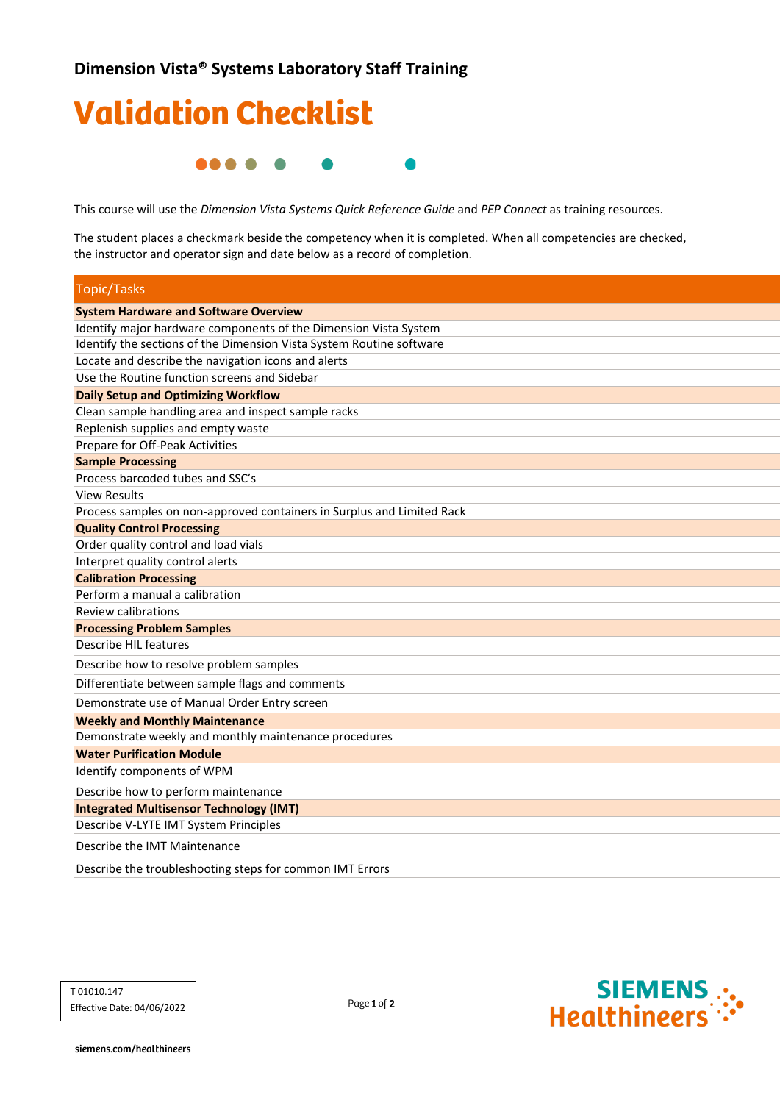

This course will use the *Dimension Vista Systems Quick Reference Guide* and *PEP Connect* as training resources.

The student places a checkmark beside the competency when it is completed. When all competencies are checked, the instructor and operator sign and date below as a record of completion.

| <b>Topic/Tasks</b>                                                     |  |
|------------------------------------------------------------------------|--|
| <b>System Hardware and Software Overview</b>                           |  |
| Identify major hardware components of the Dimension Vista System       |  |
| Identify the sections of the Dimension Vista System Routine software   |  |
| Locate and describe the navigation icons and alerts                    |  |
| Use the Routine function screens and Sidebar                           |  |
| <b>Daily Setup and Optimizing Workflow</b>                             |  |
| Clean sample handling area and inspect sample racks                    |  |
| Replenish supplies and empty waste                                     |  |
| Prepare for Off-Peak Activities                                        |  |
| <b>Sample Processing</b>                                               |  |
| Process barcoded tubes and SSC's                                       |  |
| <b>View Results</b>                                                    |  |
| Process samples on non-approved containers in Surplus and Limited Rack |  |
| <b>Quality Control Processing</b>                                      |  |
| Order quality control and load vials                                   |  |
| Interpret quality control alerts                                       |  |
| <b>Calibration Processing</b>                                          |  |
| Perform a manual a calibration                                         |  |
| Review calibrations                                                    |  |
| <b>Processing Problem Samples</b>                                      |  |
| Describe HIL features                                                  |  |
| Describe how to resolve problem samples                                |  |
| Differentiate between sample flags and comments                        |  |
| Demonstrate use of Manual Order Entry screen                           |  |
| <b>Weekly and Monthly Maintenance</b>                                  |  |
| Demonstrate weekly and monthly maintenance procedures                  |  |
| <b>Water Purification Module</b>                                       |  |
| Identify components of WPM                                             |  |
| Describe how to perform maintenance                                    |  |
| <b>Integrated Multisensor Technology (IMT)</b>                         |  |
| Describe V-LYTE IMT System Principles                                  |  |
| Describe the IMT Maintenance                                           |  |
| Describe the troubleshooting steps for common IMT Errors               |  |

Page 1 of 2